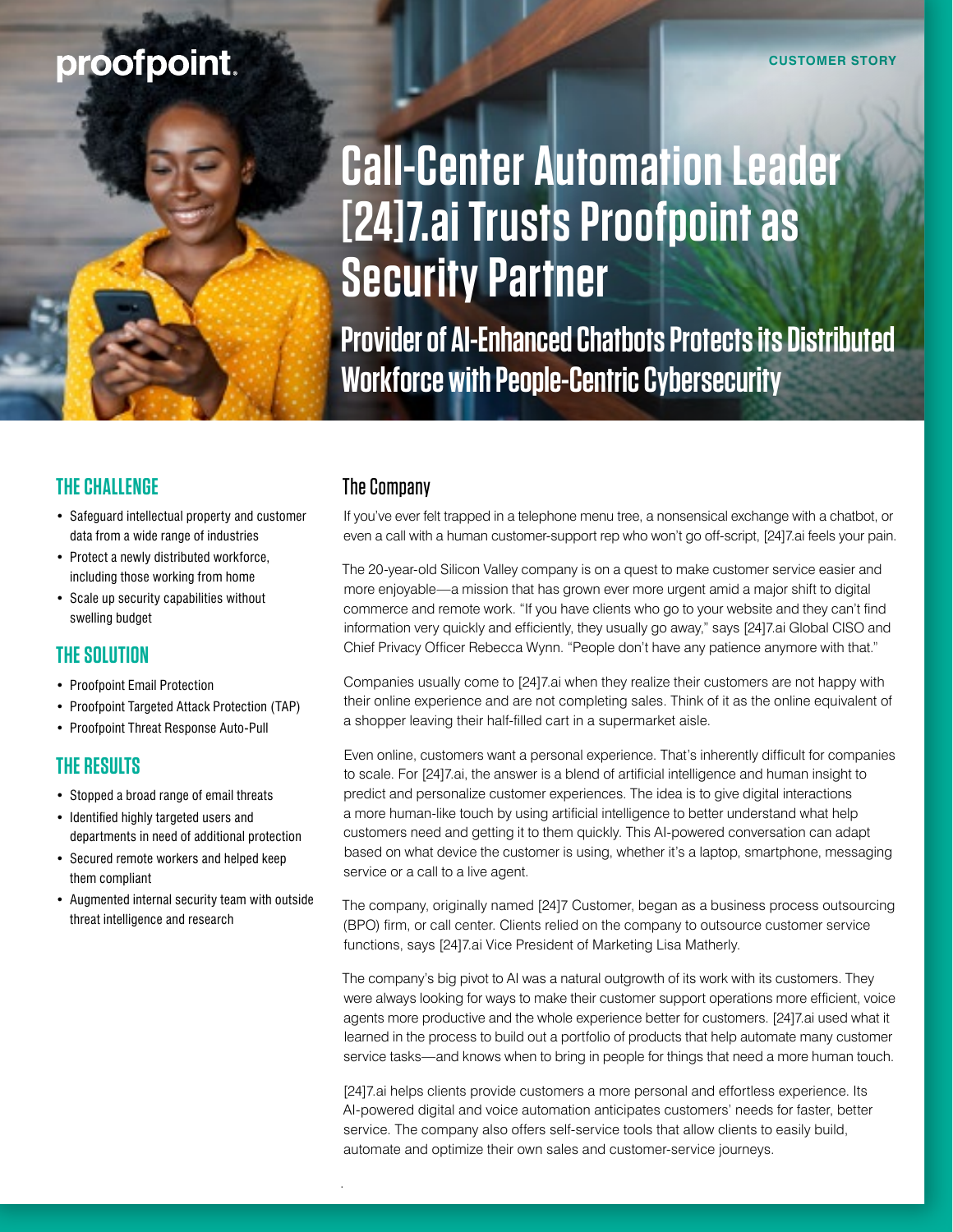# proofpoint.

# **Call-Center Automation Leader [24]7.ai Trusts Proofpoint as Security Partner**

**Provider of AI-Enhanced Chatbots Protects its Distributed Workforce with People-Centric Cybersecurity**

# **THE CHALLENGE**

- Safeguard intellectual property and customer data from a wide range of industries
- Protect a newly distributed workforce, including those working from home
- Scale up security capabilities without swelling budget

# **THE SOLUTION**

- Proofpoint Email Protection
- Proofpoint Targeted Attack Protection (TAP)
- Proofpoint Threat Response Auto-Pull

## **THE RESULTS**

- Stopped a broad range of email threats
- Identified highly targeted users and departments in need of additional protection
- Secured remote workers and helped keep them compliant
- Augmented internal security team with outside threat intelligence and research

# The Company

.

If you've ever felt trapped in a telephone menu tree, a nonsensical exchange with a chatbot, or even a call with a human customer-support rep who won't go off-script, [24]7.ai feels your pain.

The 20-year-old Silicon Valley company is on a quest to make customer service easier and more enjoyable—a mission that has grown ever more urgent amid a major shift to digital commerce and remote work. "If you have clients who go to your website and they can't find information very quickly and efficiently, they usually go away," says [24]7.ai Global CISO and Chief Privacy Officer Rebecca Wynn. "People don't have any patience anymore with that."

Companies usually come to [24]7.ai when they realize their customers are not happy with their online experience and are not completing sales. Think of it as the online equivalent of a shopper leaving their half-filled cart in a supermarket aisle.

Even online, customers want a personal experience. That's inherently difficult for companies to scale. For [24]7.ai, the answer is a blend of artificial intelligence and human insight to predict and personalize customer experiences. The idea is to give digital interactions a more human-like touch by using artificial intelligence to better understand what help customers need and getting it to them quickly. This AI-powered conversation can adapt based on what device the customer is using, whether it's a laptop, smartphone, messaging service or a call to a live agent.

The company, originally named [24]7 Customer, began as a business process outsourcing (BPO) firm, or call center. Clients relied on the company to outsource customer service functions, says [24]7.ai Vice President of Marketing Lisa Matherly.

The company's big pivot to AI was a natural outgrowth of its work with its customers. They were always looking for ways to make their customer support operations more efficient, voice agents more productive and the whole experience better for customers. [24]7.ai used what it learned in the process to build out a portfolio of products that help automate many customer service tasks—and knows when to bring in people for things that need a more human touch.

[24]7.ai helps clients provide customers a more personal and effortless experience. Its AI-powered digital and voice automation anticipates customers' needs for faster, better service. The company also offers self-service tools that allow clients to easily build, automate and optimize their own sales and customer-service journeys.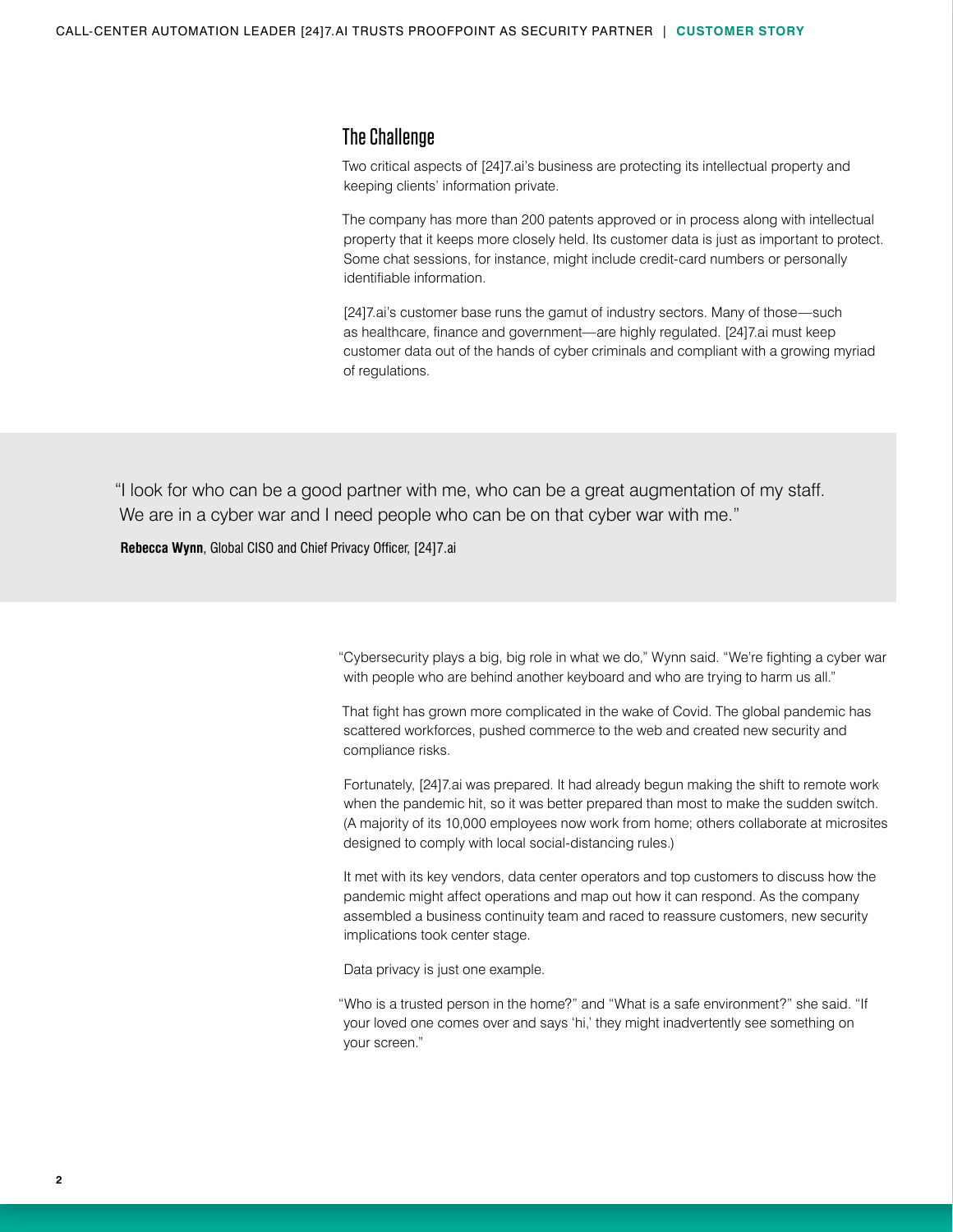#### The Challenge

Two critical aspects of [24]7.ai's business are protecting its intellectual property and keeping clients' information private.

The company has more than 200 patents approved or in process along with intellectual property that it keeps more closely held. Its customer data is just as important to protect. Some chat sessions, for instance, might include credit-card numbers or personally identifiable information.

[24]7.ai's customer base runs the gamut of industry sectors. Many of those—such as healthcare, finance and government—are highly regulated. [24]7.ai must keep customer data out of the hands of cyber criminals and compliant with a growing myriad of regulations.

"I look for who can be a good partner with me, who can be a great augmentation of my staff. We are in a cyber war and I need people who can be on that cyber war with me."

**Rebecca Wynn**, Global CISO and Chief Privacy Officer, [24]7.ai

"Cybersecurity plays a big, big role in what we do," Wynn said. "We're fighting a cyber war with people who are behind another keyboard and who are trying to harm us all."

That fight has grown more complicated in the wake of Covid. The global pandemic has scattered workforces, pushed commerce to the web and created new security and compliance risks.

Fortunately, [24]7.ai was prepared. It had already begun making the shift to remote work when the pandemic hit, so it was better prepared than most to make the sudden switch. (A majority of its 10,000 employees now work from home; others collaborate at microsites designed to comply with local social-distancing rules.)

It met with its key vendors, data center operators and top customers to discuss how the pandemic might affect operations and map out how it can respond. As the company assembled a business continuity team and raced to reassure customers, new security implications took center stage.

Data privacy is just one example.

"Who is a trusted person in the home?" and "What is a safe environment?" she said. "If your loved one comes over and says 'hi,' they might inadvertently see something on your screen."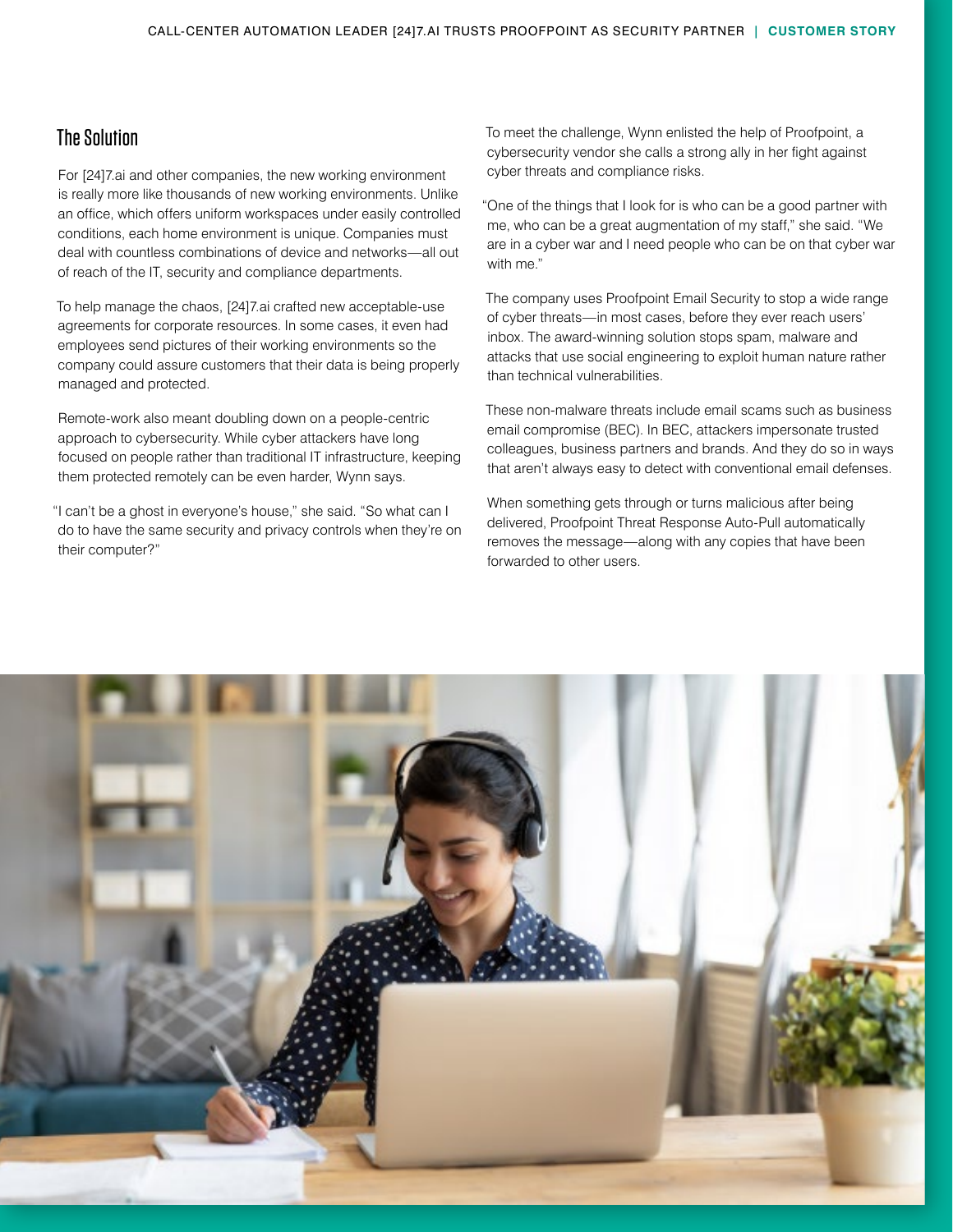### The Solution

For [24]7.ai and other companies, the new working environment is really more like thousands of new working environments. Unlike an office, which offers uniform workspaces under easily controlled conditions, each home environment is unique. Companies must deal with countless combinations of device and networks—all out of reach of the IT, security and compliance departments.

To help manage the chaos, [24]7.ai crafted new acceptable-use agreements for corporate resources. In some cases, it even had employees send pictures of their working environments so the company could assure customers that their data is being properly managed and protected.

Remote-work also meant doubling down on a people-centric approach to cybersecurity. While cyber attackers have long focused on people rather than traditional IT infrastructure, keeping them protected remotely can be even harder, Wynn says.

"I can't be a ghost in everyone's house," she said. "So what can I do to have the same security and privacy controls when they're on their computer?"

To meet the challenge, Wynn enlisted the help of Proofpoint, a cybersecurity vendor she calls a strong ally in her fight against cyber threats and compliance risks.

"One of the things that I look for is who can be a good partner with me, who can be a great augmentation of my staff," she said. "We are in a cyber war and I need people who can be on that cyber war with me."

The company uses Proofpoint Email Security to stop a wide range of cyber threats—in most cases, before they ever reach users' inbox. The award-winning solution stops spam, malware and attacks that use social engineering to exploit human nature rather than technical vulnerabilities.

These non-malware threats include email scams such as business email compromise (BEC). In BEC, attackers impersonate trusted colleagues, business partners and brands. And they do so in ways that aren't always easy to detect with conventional email defenses.

When something gets through or turns malicious after being delivered, Proofpoint Threat Response Auto-Pull automatically removes the message—along with any copies that have been forwarded to other users.